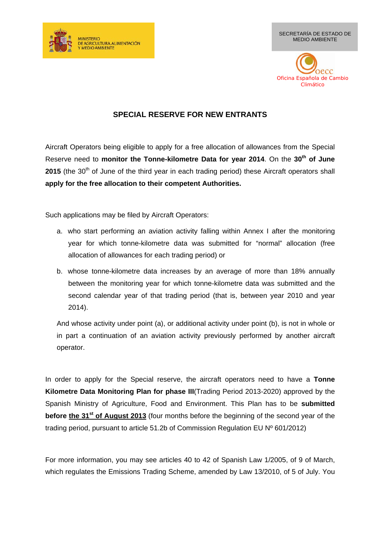

SECRETARÍA DE ESTADO DE MEDIO AMBIENTE



## **SPECIAL RESERVE FOR NEW ENTRANTS**

Aircraft Operators being eligible to apply for a free allocation of allowances from the Special Reserve need to **monitor the Tonne-kilometre Data for year 2014**. On the **30th of June 2015** (the 30<sup>th</sup> of June of the third year in each trading period) these Aircraft operators shall **apply for the free allocation to their competent Authorities.**

Such applications may be filed by Aircraft Operators:

- a. who start performing an aviation activity falling within Annex I after the monitoring year for which tonne-kilometre data was submitted for "normal" allocation (free allocation of allowances for each trading period) or
- b. whose tonne-kilometre data increases by an average of more than 18% annually between the monitoring year for which tonne-kilometre data was submitted and the second calendar year of that trading period (that is, between year 2010 and year 2014).

And whose activity under point (a), or additional activity under point (b), is not in whole or in part a continuation of an aviation activity previously performed by another aircraft operator.

In order to apply for the Special reserve, the aircraft operators need to have a **Tonne Kilometre Data Monitoring Plan for phase III**(Trading Period 2013-2020) approved by the Spanish Ministry of Agriculture, Food and Environment. This Plan has to be **submitted before the 31st of August 2013** (four months before the beginning of the second year of the trading period, pursuant to article 51.2b of Commission Regulation EU Nº 601/2012)

For more information, you may see articles 40 to 42 of Spanish Law 1/2005, of 9 of March, which regulates the Emissions Trading Scheme, amended by Law 13/2010, of 5 of July. You